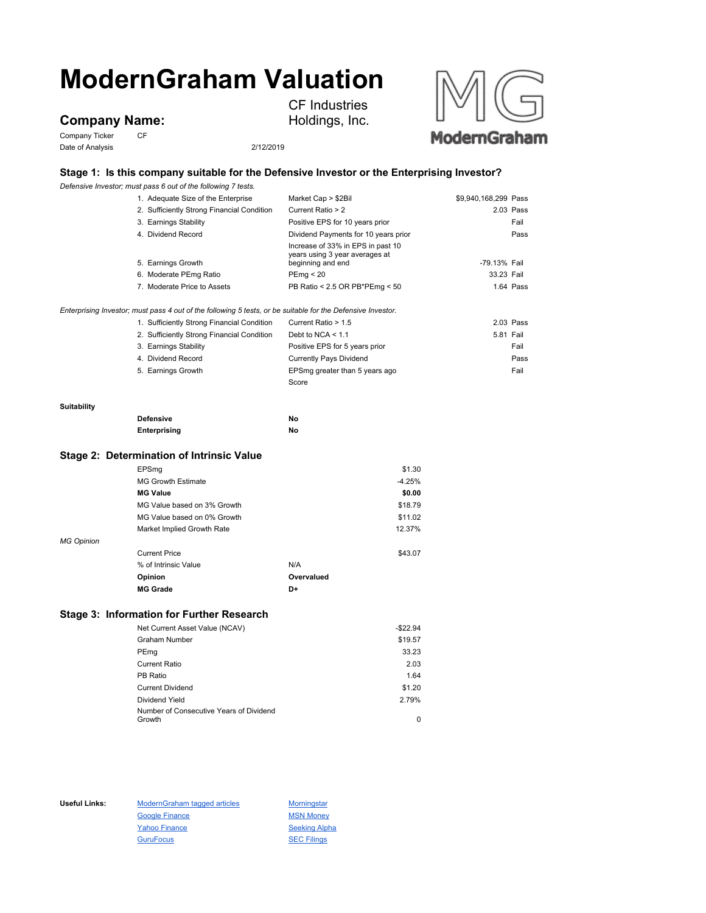# **ModernGraham Valuation**

## **Company Name:**

Company Ticker CF Date of Analysis 2/12/2019

CF Industries Holdings, Inc.



## **Stage 1: Is this company suitable for the Defensive Investor or the Enterprising Investor?**

*Defensive Investor; must pass 6 out of the following 7 tests.*

|                    | 1. Adequate Size of the Enterprise                                                                          | Market Cap > \$2Bil                                                                      | \$9,940,168,299 Pass |           |
|--------------------|-------------------------------------------------------------------------------------------------------------|------------------------------------------------------------------------------------------|----------------------|-----------|
|                    | 2. Sufficiently Strong Financial Condition                                                                  | Current Ratio > 2                                                                        |                      | 2.03 Pass |
|                    | 3. Earnings Stability                                                                                       | Positive EPS for 10 years prior                                                          |                      | Fail      |
|                    | 4. Dividend Record                                                                                          | Dividend Payments for 10 years prior                                                     |                      | Pass      |
|                    | 5. Earnings Growth                                                                                          | Increase of 33% in EPS in past 10<br>years using 3 year averages at<br>beginning and end | -79.13% Fail         |           |
|                    | 6. Moderate PEmg Ratio                                                                                      | PEmg < 20                                                                                | 33.23 Fail           |           |
|                    | 7. Moderate Price to Assets                                                                                 | PB Ratio < 2.5 OR PB*PEmg < 50                                                           |                      | 1.64 Pass |
|                    | Enterprising Investor; must pass 4 out of the following 5 tests, or be suitable for the Defensive Investor. |                                                                                          |                      |           |
|                    | 1. Sufficiently Strong Financial Condition                                                                  | Current Ratio > 1.5                                                                      |                      | 2.03 Pass |
|                    | 2. Sufficiently Strong Financial Condition                                                                  | Debt to NCA $<$ 1.1                                                                      | 5.81 Fail            |           |
|                    | 3. Earnings Stability                                                                                       | Positive EPS for 5 years prior                                                           |                      | Fail      |
|                    | 4. Dividend Record                                                                                          | <b>Currently Pays Dividend</b>                                                           |                      | Pass      |
|                    | 5. Earnings Growth                                                                                          | EPSmg greater than 5 years ago                                                           |                      | Fail      |
|                    |                                                                                                             | Score                                                                                    |                      |           |
| <b>Suitability</b> |                                                                                                             |                                                                                          |                      |           |
|                    | <b>Defensive</b>                                                                                            | No                                                                                       |                      |           |

**Stage 2: Determination of Intrinsic Value**

| \$1.30                                            |
|---------------------------------------------------|
| $-4.25%$                                          |
| \$0.00                                            |
| MG Value based on 3% Growth<br>\$18.79            |
| MG Value based on 0% Growth<br>\$11.02            |
| 12.37%<br>Market Implied Growth Rate              |
|                                                   |
| \$43.07                                           |
| N/A                                               |
| Overvalued                                        |
| D+                                                |
| <b>MG Growth Estimate</b><br>% of Intrinsic Value |

**Enterprising No**

### **Stage 3: Information for Further Research**

| Net Current Asset Value (NCAV)          | $-$22.94$ |
|-----------------------------------------|-----------|
| <b>Graham Number</b>                    | \$19.57   |
| PEmg                                    | 33.23     |
| <b>Current Ratio</b>                    | 2.03      |
| PB Ratio                                | 1.64      |
| <b>Current Dividend</b>                 | \$1.20    |
| Dividend Yield                          | 2.79%     |
| Number of Consecutive Years of Dividend |           |
| Growth                                  | 0         |

Useful Links: ModernGraham tagged articles Morningstar Google Finance MSN Money Yahoo Finance Seeking Alpha GuruFocus **SEC Filings**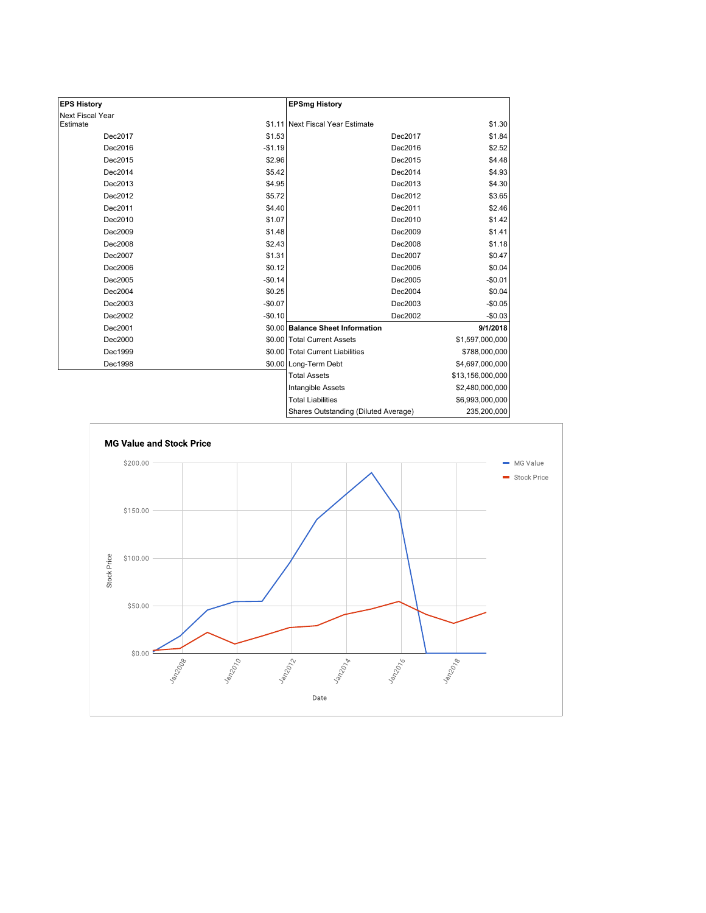| <b>EPS History</b> |          | <b>EPSmg History</b>                 |                  |
|--------------------|----------|--------------------------------------|------------------|
| Next Fiscal Year   |          |                                      |                  |
| Estimate           |          | \$1.11 Next Fiscal Year Estimate     | \$1.30           |
| Dec2017            | \$1.53   | Dec2017                              | \$1.84           |
| Dec2016            | $-$1.19$ | Dec2016                              | \$2.52           |
| Dec2015            | \$2.96   | Dec2015                              | \$4.48           |
| Dec2014            | \$5.42   | Dec2014                              | \$4.93           |
| Dec2013            | \$4.95   | Dec2013                              | \$4.30           |
| Dec2012            | \$5.72   | Dec2012                              | \$3.65           |
| Dec2011            | \$4.40   | Dec2011                              | \$2.46           |
| Dec2010            | \$1.07   | Dec2010                              | \$1.42           |
| Dec2009            | \$1.48   | Dec2009                              | \$1.41           |
| Dec2008            | \$2.43   | Dec2008                              | \$1.18           |
| Dec2007            | \$1.31   | Dec2007                              | \$0.47           |
| Dec2006            | \$0.12   | Dec2006                              | \$0.04           |
| Dec2005            | $-$0.14$ | Dec2005                              | $-$0.01$         |
| Dec2004            | \$0.25   | Dec2004                              | \$0.04           |
| Dec2003            | $-$0.07$ | Dec2003                              | $-$0.05$         |
| Dec2002            | $-$0.10$ | Dec2002                              | $-$0.03$         |
| Dec2001            |          | \$0.00 Balance Sheet Information     | 9/1/2018         |
| Dec2000            |          | \$0.00 Total Current Assets          | \$1,597,000,000  |
| Dec1999            |          | \$0.00 Total Current Liabilities     | \$788,000,000    |
| Dec1998            |          | \$0.00 Long-Term Debt                | \$4,697,000,000  |
|                    |          | <b>Total Assets</b>                  | \$13,156,000,000 |
|                    |          | Intangible Assets                    | \$2,480,000,000  |
|                    |          | <b>Total Liabilities</b>             | \$6,993,000,000  |
|                    |          | Shares Outstanding (Diluted Average) | 235,200,000      |